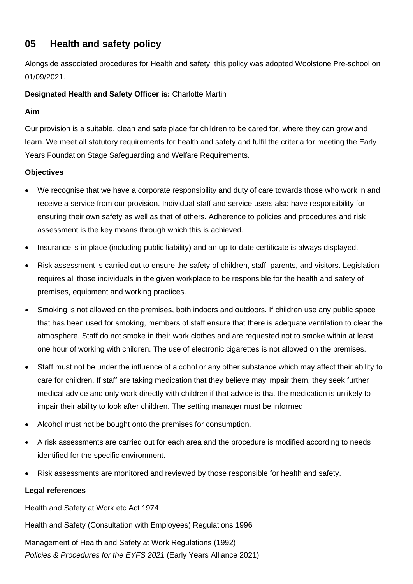# **05 Health and safety policy**

Alongside associated procedures for Health and safety, this policy was adopted Woolstone Pre-school on 01/09/2021.

## **Designated Health and Safety Officer is:** Charlotte Martin

#### **Aim**

Our provision is a suitable, clean and safe place for children to be cared for, where they can grow and learn. We meet all statutory requirements for health and safety and fulfil the criteria for meeting the Early Years Foundation Stage Safeguarding and Welfare Requirements.

### **Objectives**

- We recognise that we have a corporate responsibility and duty of care towards those who work in and receive a service from our provision. Individual staff and service users also have responsibility for ensuring their own safety as well as that of others. Adherence to policies and procedures and risk assessment is the key means through which this is achieved.
- Insurance is in place (including public liability) and an up-to-date certificate is always displayed.
- Risk assessment is carried out to ensure the safety of children, staff, parents, and visitors. Legislation requires all those individuals in the given workplace to be responsible for the health and safety of premises, equipment and working practices.
- Smoking is not allowed on the premises, both indoors and outdoors. If children use any public space that has been used for smoking, members of staff ensure that there is adequate ventilation to clear the atmosphere. Staff do not smoke in their work clothes and are requested not to smoke within at least one hour of working with children. The use of electronic cigarettes is not allowed on the premises.
- Staff must not be under the influence of alcohol or any other substance which may affect their ability to care for children. If staff are taking medication that they believe may impair them, they seek further medical advice and only work directly with children if that advice is that the medication is unlikely to impair their ability to look after children. The setting manager must be informed.
- Alcohol must not be bought onto the premises for consumption.
- A risk assessments are carried out for each area and the procedure is modified according to needs identified for the specific environment.
- Risk assessments are monitored and reviewed by those responsible for health and safety.

#### **Legal references**

Health and Safety at Work etc Act 1974

Health and Safety (Consultation with Employees) Regulations 1996

*Policies & Procedures for the EYFS 2021* (Early Years Alliance 2021) Management of Health and Safety at Work Regulations (1992)